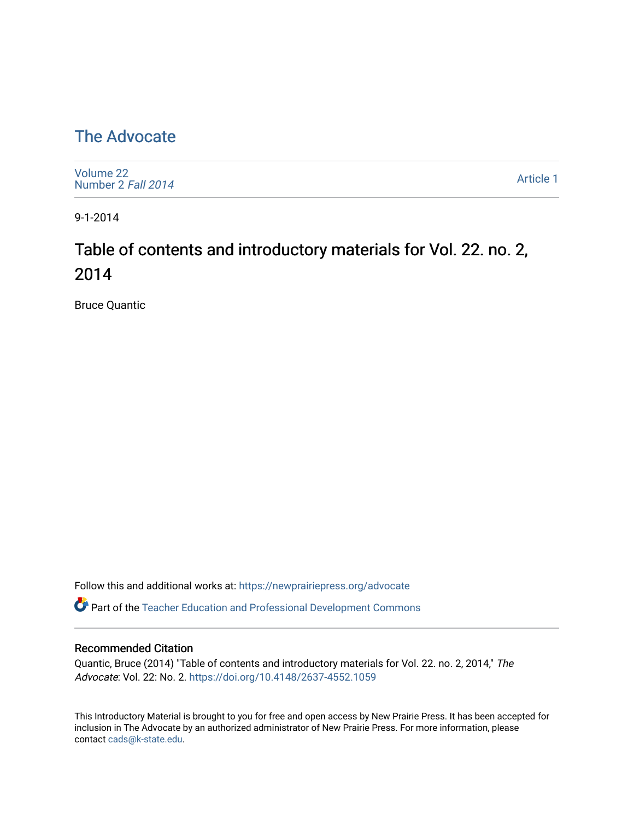### [The Advocate](https://newprairiepress.org/advocate)

[Volume 22](https://newprairiepress.org/advocate/vol22) [Number 2](https://newprairiepress.org/advocate/vol22/iss2) Fall 2014

[Article 1](https://newprairiepress.org/advocate/vol22/iss2/1) 

9-1-2014

## Table of contents and introductory materials for Vol. 22. no. 2, 2014

Bruce Quantic

Follow this and additional works at: [https://newprairiepress.org/advocate](https://newprairiepress.org/advocate?utm_source=newprairiepress.org%2Fadvocate%2Fvol22%2Fiss2%2F1&utm_medium=PDF&utm_campaign=PDFCoverPages) 

Part of the [Teacher Education and Professional Development Commons](http://network.bepress.com/hgg/discipline/803?utm_source=newprairiepress.org%2Fadvocate%2Fvol22%2Fiss2%2F1&utm_medium=PDF&utm_campaign=PDFCoverPages) 

#### Recommended Citation

Quantic, Bruce (2014) "Table of contents and introductory materials for Vol. 22. no. 2, 2014," The Advocate: Vol. 22: No. 2. <https://doi.org/10.4148/2637-4552.1059>

This Introductory Material is brought to you for free and open access by New Prairie Press. It has been accepted for inclusion in The Advocate by an authorized administrator of New Prairie Press. For more information, please contact [cads@k-state.edu](mailto:cads@k-state.edu).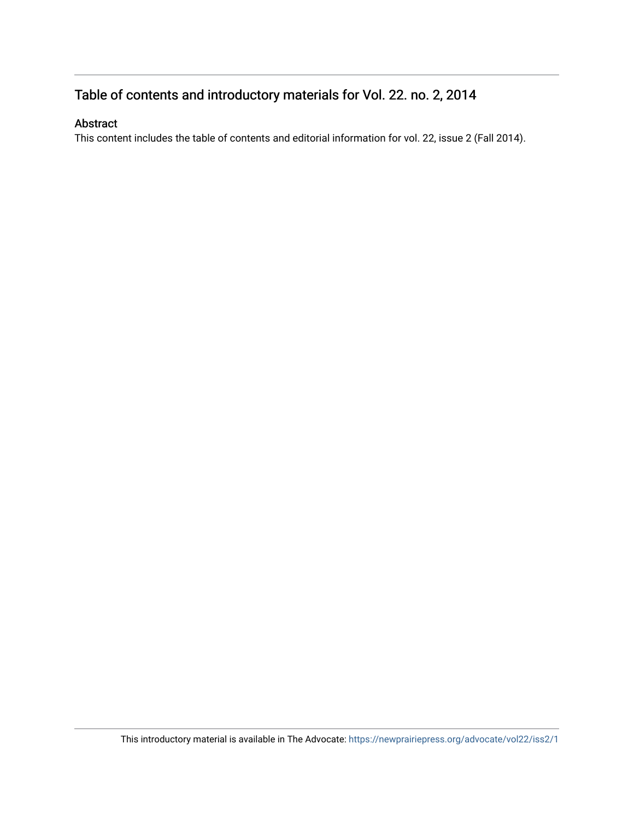#### Table of contents and introductory materials for Vol. 22. no. 2, 2014

#### Abstract

This content includes the table of contents and editorial information for vol. 22, issue 2 (Fall 2014).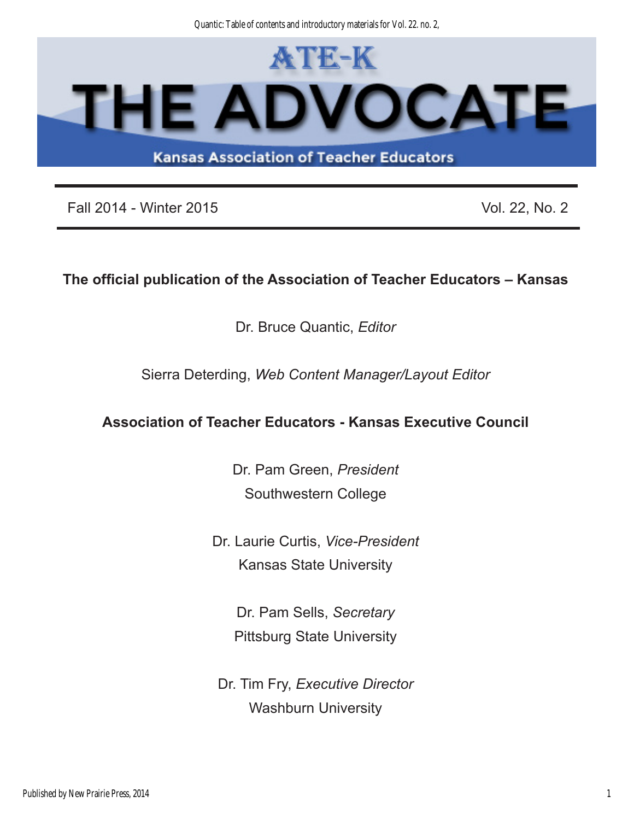Quantic: Table of contents and introductory materials for Vol. 22. no. 2,



Fall 2014 - Winter 2015 **Vol. 22, No. 2** Vol. 22, No. 2

#### **The official publication of the Association of Teacher Educators – Kansas**

Dr. Bruce Quantic, *Editor*

Sierra Deterding, *Web Content Manager/Layout Editor*

#### **Association of Teacher Educators - Kansas Executive Council**

Dr. Pam Green, *President* Southwestern College

Dr. Laurie Curtis, *Vice-President* Kansas State University

> Dr. Pam Sells, *Secretary* Pittsburg State University

Dr. Tim Fry, *Executive Director* Washburn University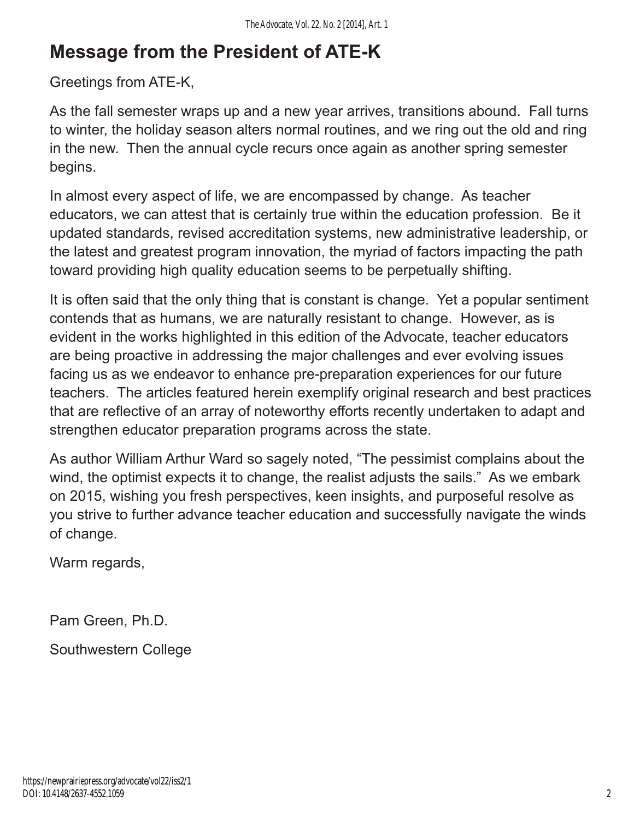# **Message from the President of ATE-K**

#### Greetings from ATE-K,

As the fall semester wraps up and a new year arrives, transitions abound. Fall turns to winter, the holiday season alters normal routines, and we ring out the old and ring in the new. Then the annual cycle recurs once again as another spring semester begins.

In almost every aspect of life, we are encompassed by change. As teacher educators, we can attest that is certainly true within the education profession. Be it updated standards, revised accreditation systems, new administrative leadership, or the latest and greatest program innovation, the myriad of factors impacting the path toward providing high quality education seems to be perpetually shifting.

It is often said that the only thing that is constant is change. Yet a popular sentiment contends that as humans, we are naturally resistant to change. However, as is evident in the works highlighted in this edition of the Advocate, teacher educators are being proactive in addressing the major challenges and ever evolving issues facing us as we endeavor to enhance pre-preparation experiences for our future teachers. The articles featured herein exemplify original research and best practices that are reflective of an array of noteworthy efforts recently undertaken to adapt and strengthen educator preparation programs across the state.

As author William Arthur Ward so sagely noted, "The pessimist complains about the wind, the optimist expects it to change, the realist adjusts the sails." As we embark on 2015, wishing you fresh perspectives, keen insights, and purposeful resolve as you strive to further advance teacher education and successfully navigate the winds of change.

Warm regards,

Pam Green, Ph.D.

Southwestern College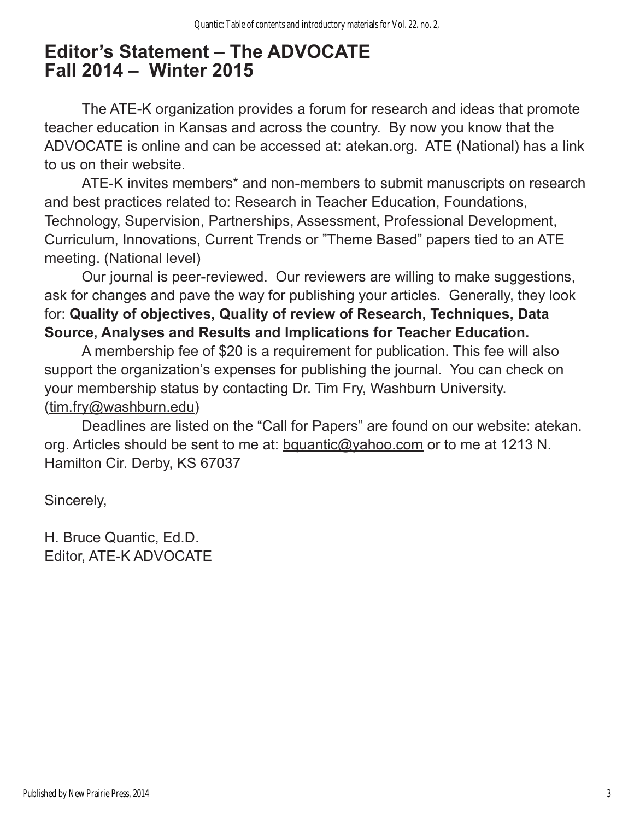## **Editor's Statement – The ADVOCATE Fall 2014 – Winter 2015**

The ATE-K organization provides a forum for research and ideas that promote teacher education in Kansas and across the country. By now you know that the ADVOCATE is online and can be accessed at: atekan.org. ATE (National) has a link to us on their website.

ATE-K invites members\* and non-members to submit manuscripts on research and best practices related to: Research in Teacher Education, Foundations, Technology, Supervision, Partnerships, Assessment, Professional Development, Curriculum, Innovations, Current Trends or "Theme Based" papers tied to an ATE meeting. (National level)

Our journal is peer-reviewed. Our reviewers are willing to make suggestions, ask for changes and pave the way for publishing your articles. Generally, they look for: **Quality of objectives, Quality of review of Research, Techniques, Data Source, Analyses and Results and Implications for Teacher Education.**

A membership fee of \$20 is a requirement for publication. This fee will also support the organization's expenses for publishing the journal. You can check on your membership status by contacting Dr. Tim Fry, Washburn University. ([tim.fry@washburn.edu\)](mailto:tim.fry@washburn.edu)

Deadlines are listed on the "Call for Papers" are found on our website: atekan. org. Articles should be sent to me at: [bquantic@yahoo.com](mailto:bquantic@yahoo.com) or to me at 1213 N. Hamilton Cir. Derby, KS 67037

Sincerely,

H. Bruce Quantic, Ed.D. Editor, ATE-K ADVOCATE